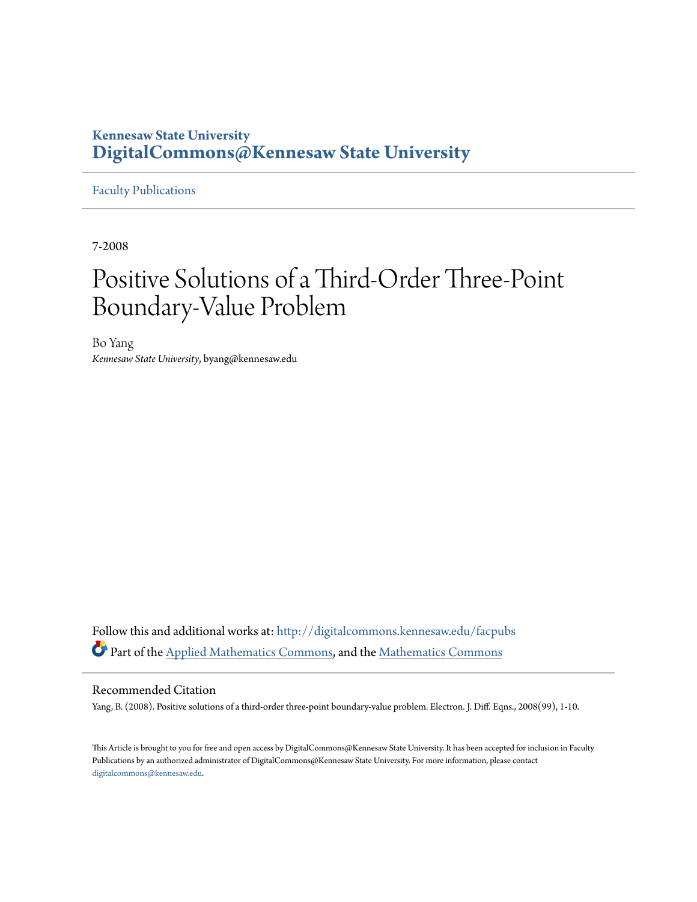## **Kennesaw State University [DigitalCommons@Kennesaw State University](http://digitalcommons.kennesaw.edu?utm_source=digitalcommons.kennesaw.edu%2Ffacpubs%2F1112&utm_medium=PDF&utm_campaign=PDFCoverPages)**

[Faculty Publications](http://digitalcommons.kennesaw.edu/facpubs?utm_source=digitalcommons.kennesaw.edu%2Ffacpubs%2F1112&utm_medium=PDF&utm_campaign=PDFCoverPages)

7-2008

# Positive Solutions of a Third-Order Three-Point Boundary-Value Problem

Bo Yang *Kennesaw State University*, byang@kennesaw.edu

Follow this and additional works at: [http://digitalcommons.kennesaw.edu/facpubs](http://digitalcommons.kennesaw.edu/facpubs?utm_source=digitalcommons.kennesaw.edu%2Ffacpubs%2F1112&utm_medium=PDF&utm_campaign=PDFCoverPages) Part of the [Applied Mathematics Commons](http://network.bepress.com/hgg/discipline/115?utm_source=digitalcommons.kennesaw.edu%2Ffacpubs%2F1112&utm_medium=PDF&utm_campaign=PDFCoverPages), and the [Mathematics Commons](http://network.bepress.com/hgg/discipline/174?utm_source=digitalcommons.kennesaw.edu%2Ffacpubs%2F1112&utm_medium=PDF&utm_campaign=PDFCoverPages)

### Recommended Citation

Yang, B. (2008). Positive solutions of a third-order three-point boundary-value problem. Electron. J. Diff. Eqns., 2008(99), 1-10.

This Article is brought to you for free and open access by DigitalCommons@Kennesaw State University. It has been accepted for inclusion in Faculty Publications by an authorized administrator of DigitalCommons@Kennesaw State University. For more information, please contact [digitalcommons@kennesaw.edu.](mailto:digitalcommons@kennesaw.edu)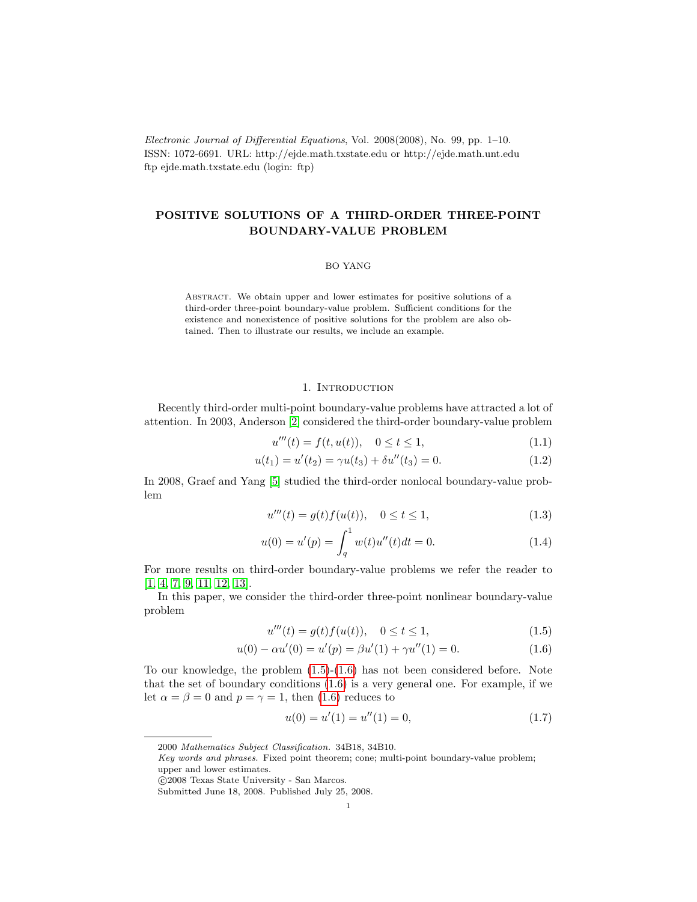Electronic Journal of Differential Equations, Vol. 2008(2008), No. 99, pp. 1–10. ISSN: 1072-6691. URL: http://ejde.math.txstate.edu or http://ejde.math.unt.edu ftp ejde.math.txstate.edu (login: ftp)

## POSITIVE SOLUTIONS OF A THIRD-ORDER THREE-POINT BOUNDARY-VALUE PROBLEM

#### BO YANG

Abstract. We obtain upper and lower estimates for positive solutions of a third-order three-point boundary-value problem. Sufficient conditions for the existence and nonexistence of positive solutions for the problem are also obtained. Then to illustrate our results, we include an example.

#### 1. INTRODUCTION

Recently third-order multi-point boundary-value problems have attracted a lot of attention. In 2003, Anderson [\[2\]](#page-10-0) considered the third-order boundary-value problem

$$
u'''(t) = f(t, u(t)), \quad 0 \le t \le 1,
$$
\n(1.1)

$$
u(t_1) = u'(t_2) = \gamma u(t_3) + \delta u''(t_3) = 0.
$$
\n(1.2)

In 2008, Graef and Yang [\[5\]](#page-10-1) studied the third-order nonlocal boundary-value problem

$$
u'''(t) = g(t)f(u(t)), \quad 0 \le t \le 1,
$$
\n(1.3)

$$
u(0) = u'(p) = \int_{q}^{1} w(t)u''(t)dt = 0.
$$
 (1.4)

For more results on third-order boundary-value problems we refer the reader to [\[1,](#page-10-2) [4,](#page-10-3) [7,](#page-10-4) [9,](#page-10-5) [11,](#page-10-6) [12,](#page-10-7) [13\]](#page-10-8).

In this paper, we consider the third-order three-point nonlinear boundary-value problem

$$
u'''(t) = g(t)f(u(t)), \quad 0 \le t \le 1,
$$
\n(1.5)

$$
u(0) - \alpha u'(0) = u'(p) = \beta u'(1) + \gamma u''(1) = 0.
$$
\n(1.6)

To our knowledge, the problem  $(1.5)-(1.6)$  $(1.5)-(1.6)$  $(1.5)-(1.6)$  has not been considered before. Note that the set of boundary conditions  $(1.6)$  is a very general one. For example, if we let  $\alpha = \beta = 0$  and  $p = \gamma = 1$ , then [\(1.6\)](#page-1-1) reduces to

<span id="page-1-1"></span><span id="page-1-0"></span>
$$
u(0) = u'(1) = u''(1) = 0,
$$
\n(1.7)

<sup>2000</sup> Mathematics Subject Classification. 34B18, 34B10.

Key words and phrases. Fixed point theorem; cone; multi-point boundary-value problem; upper and lower estimates.

c 2008 Texas State University - San Marcos.

Submitted June 18, 2008. Published July 25, 2008.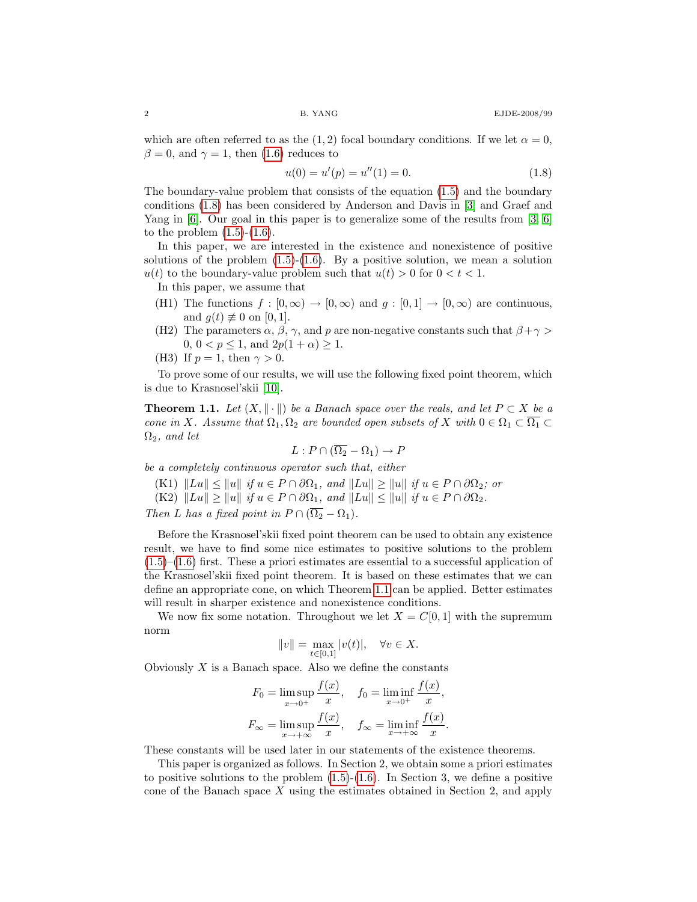which are often referred to as the (1, 2) focal boundary conditions. If we let  $\alpha = 0$ ,  $\beta = 0$ , and  $\gamma = 1$ , then [\(1.6\)](#page-1-1) reduces to

<span id="page-2-0"></span>
$$
u(0) = u'(p) = u''(1) = 0.
$$
\n(1.8)

The boundary-value problem that consists of the equation [\(1.5\)](#page-1-0) and the boundary conditions [\(1.8\)](#page-2-0) has been considered by Anderson and Davis in [\[3\]](#page-10-9) and Graef and Yang in [\[6\]](#page-10-10). Our goal in this paper is to generalize some of the results from [\[3,](#page-10-9) [6\]](#page-10-10) to the problem  $(1.5)-(1.6)$  $(1.5)-(1.6)$  $(1.5)-(1.6)$ .

In this paper, we are interested in the existence and nonexistence of positive solutions of the problem  $(1.5)-(1.6)$  $(1.5)-(1.6)$  $(1.5)-(1.6)$ . By a positive solution, we mean a solution  $u(t)$  to the boundary-value problem such that  $u(t) > 0$  for  $0 < t < 1$ .

In this paper, we assume that

- (H1) The functions  $f : [0, \infty) \to [0, \infty)$  and  $q : [0, 1] \to [0, \infty)$  are continuous, and  $g(t) \not\equiv 0$  on [0, 1].
- (H2) The parameters  $\alpha$ ,  $\beta$ ,  $\gamma$ , and p are non-negative constants such that  $\beta + \gamma$ 0,  $0 < p \le 1$ , and  $2p(1 + \alpha) \ge 1$ .
- (H3) If  $p = 1$ , then  $\gamma > 0$ .

To prove some of our results, we will use the following fixed point theorem, which is due to Krasnosel'skii [\[10\]](#page-10-11).

<span id="page-2-1"></span>**Theorem 1.1.** Let  $(X, \|\cdot\|)$  be a Banach space over the reals, and let  $P \subset X$  be a cone in X. Assume that  $\Omega_1, \Omega_2$  are bounded open subsets of X with  $0 \in \Omega_1 \subset \overline{\Omega_1} \subset$  $\Omega_2$ , and let

$$
L: P \cap (\overline{\Omega_2} - \Omega_1) \to P
$$

be a completely continuous operator such that, either

- (K1)  $\|Lu\| \leq \|u\|$  if  $u \in P \cap \partial\Omega_1$ , and  $\|Lu\| \geq \|u\|$  if  $u \in P \cap \partial\Omega_2$ ; or
- (K2)  $||Lu|| \ge ||u||$  if  $u \in P \cap \partial \Omega_1$ , and  $||Lu|| \le ||u||$  if  $u \in P \cap \partial \Omega_2$ .

Then L has a fixed point in  $P \cap (\overline{\Omega_2} - \Omega_1)$ .

Before the Krasnosel'skii fixed point theorem can be used to obtain any existence result, we have to find some nice estimates to positive solutions to the problem  $(1.5)$ – $(1.6)$  first. These a priori estimates are essential to a successful application of the Krasnosel'skii fixed point theorem. It is based on these estimates that we can define an appropriate cone, on which Theorem [1.1](#page-2-1) can be applied. Better estimates will result in sharper existence and nonexistence conditions.

We now fix some notation. Throughout we let  $X = C[0, 1]$  with the supremum norm

$$
||v|| = \max_{t \in [0,1]} |v(t)|, \quad \forall v \in X.
$$

Obviously  $X$  is a Banach space. Also we define the constants

$$
F_0 = \limsup_{x \to 0^+} \frac{f(x)}{x}, \quad f_0 = \liminf_{x \to 0^+} \frac{f(x)}{x},
$$
  

$$
F_{\infty} = \limsup_{x \to +\infty} \frac{f(x)}{x}, \quad f_{\infty} = \liminf_{x \to +\infty} \frac{f(x)}{x}.
$$

These constants will be used later in our statements of the existence theorems.

This paper is organized as follows. In Section 2, we obtain some a priori estimates to positive solutions to the problem  $(1.5)-(1.6)$  $(1.5)-(1.6)$  $(1.5)-(1.6)$ . In Section 3, we define a positive cone of the Banach space  $X$  using the estimates obtained in Section 2, and apply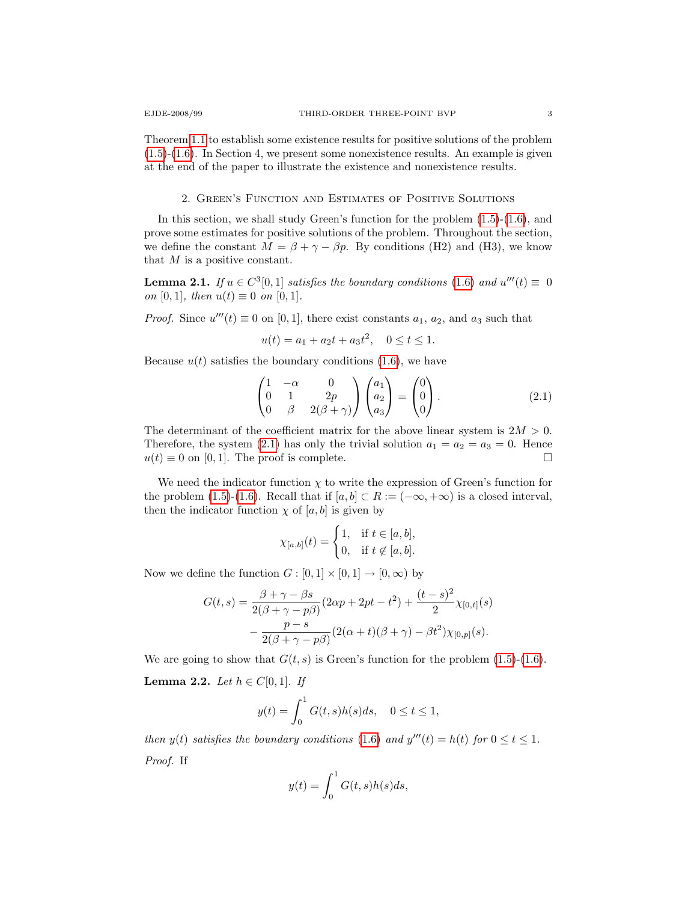Theorem [1.1](#page-2-1) to establish some existence results for positive solutions of the problem [\(1.5\)](#page-1-0)-[\(1.6\)](#page-1-1). In Section 4, we present some nonexistence results. An example is given at the end of the paper to illustrate the existence and nonexistence results.

#### 2. Green's Function and Estimates of Positive Solutions

In this section, we shall study Green's function for the problem [\(1.5\)](#page-1-0)-[\(1.6\)](#page-1-1), and prove some estimates for positive solutions of the problem. Throughout the section, we define the constant  $M = \beta + \gamma - \beta p$ . By conditions (H2) and (H3), we know that M is a positive constant.

<span id="page-3-2"></span>**Lemma 2.1.** If  $u \in C^3[0,1]$  satisfies the boundary conditions [\(1.6\)](#page-1-1) and  $u'''(t) \equiv 0$ on [0, 1], then  $u(t) \equiv 0$  on [0, 1].

*Proof.* Since  $u'''(t) \equiv 0$  on [0, 1], there exist constants  $a_1$ ,  $a_2$ , and  $a_3$  such that

<span id="page-3-0"></span>
$$
u(t) = a_1 + a_2t + a_3t^2, \quad 0 \le t \le 1.
$$

Because  $u(t)$  satisfies the boundary conditions [\(1.6\)](#page-1-1), we have

$$
\begin{pmatrix}\n1 & -\alpha & 0 \\
0 & 1 & 2p \\
0 & \beta & 2(\beta + \gamma)\n\end{pmatrix}\n\begin{pmatrix}\na_1 \\
a_2 \\
a_3\n\end{pmatrix} = \begin{pmatrix}\n0 \\
0 \\
0\n\end{pmatrix}.
$$
\n(2.1)

The determinant of the coefficient matrix for the above linear system is  $2M > 0$ . Therefore, the system [\(2.1\)](#page-3-0) has only the trivial solution  $a_1 = a_2 = a_3 = 0$ . Hence  $u(t) \equiv 0$  on [0, 1]. The proof is complete.

We need the indicator function  $\chi$  to write the expression of Green's function for the problem [\(1.5\)](#page-1-0)-[\(1.6\)](#page-1-1). Recall that if  $[a, b] \subset R := (-\infty, +\infty)$  is a closed interval, then the indicator function  $\chi$  of [a, b] is given by

$$
\chi_{[a,b]}(t) = \begin{cases} 1, & \text{if } t \in [a,b], \\ 0, & \text{if } t \notin [a,b]. \end{cases}
$$

Now we define the function  $G : [0,1] \times [0,1] \to [0,\infty)$  by

$$
G(t,s) = \frac{\beta + \gamma - \beta s}{2(\beta + \gamma - p\beta)} (2\alpha p + 2pt - t^2) + \frac{(t-s)^2}{2} \chi_{[0,t]}(s) - \frac{p-s}{2(\beta + \gamma - p\beta)} (2(\alpha + t)(\beta + \gamma) - \beta t^2) \chi_{[0,p]}(s).
$$

We are going to show that  $G(t, s)$  is Green's function for the problem  $(1.5)-(1.6)$  $(1.5)-(1.6)$  $(1.5)-(1.6)$ .

<span id="page-3-1"></span>**Lemma 2.2.** Let  $h \in C[0,1]$ . If

$$
y(t) = \int_0^1 G(t,s)h(s)ds, \quad 0 \le t \le 1,
$$

then  $y(t)$  satisfies the boundary conditions [\(1.6\)](#page-1-1) and  $y'''(t) = h(t)$  for  $0 \le t \le 1$ . Proof. If

$$
y(t) = \int_0^1 G(t, s)h(s)ds,
$$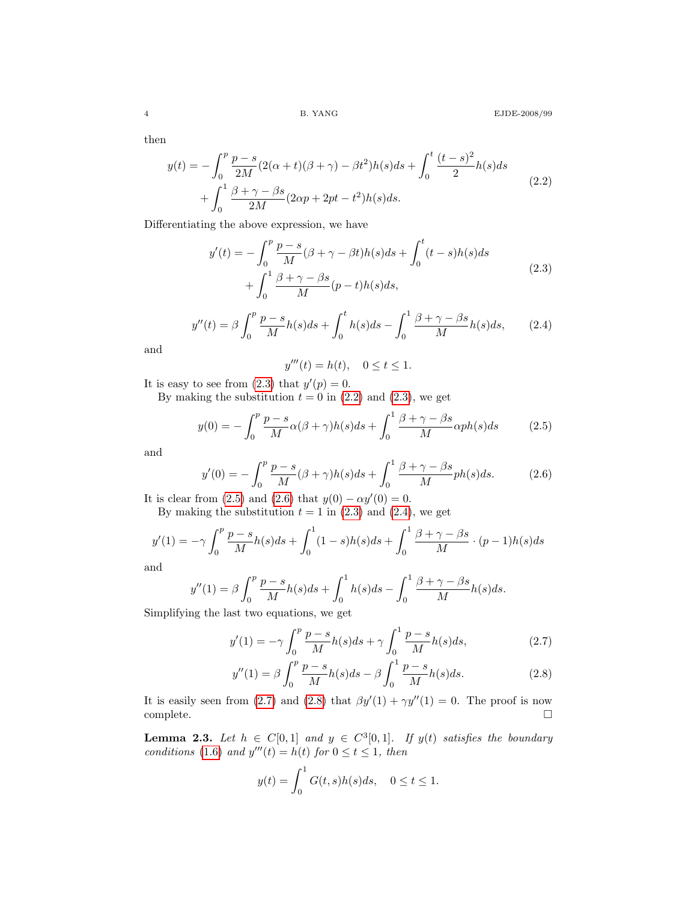then

<span id="page-4-1"></span>
$$
y(t) = -\int_0^p \frac{p-s}{2M} (2(\alpha + t)(\beta + \gamma) - \beta t^2) h(s) ds + \int_0^t \frac{(t-s)^2}{2} h(s) ds
$$
  
+ 
$$
\int_0^1 \frac{\beta + \gamma - \beta s}{2M} (2\alpha p + 2pt - t^2) h(s) ds.
$$
 (2.2)

Differentiating the above expression, we have

<span id="page-4-0"></span>
$$
y'(t) = -\int_0^p \frac{p-s}{M} (\beta + \gamma - \beta t) h(s) ds + \int_0^t (t-s) h(s) ds
$$
  
+ 
$$
\int_0^1 \frac{\beta + \gamma - \beta s}{M} (p-t) h(s) ds,
$$
 (2.3)

<span id="page-4-4"></span>
$$
y''(t) = \beta \int_0^p \frac{p-s}{M} h(s)ds + \int_0^t h(s)ds - \int_0^1 \frac{\beta + \gamma - \beta s}{M} h(s)ds, \qquad (2.4)
$$

and

<span id="page-4-2"></span>
$$
y'''(t) = h(t), \quad 0 \le t \le 1.
$$

It is easy to see from  $(2.3)$  that  $y'(p) = 0$ .

By making the substitution  $t = 0$  in [\(2.2\)](#page-4-1) and [\(2.3\)](#page-4-0), we get

$$
y(0) = -\int_0^p \frac{p-s}{M} \alpha(\beta + \gamma)h(s)ds + \int_0^1 \frac{\beta + \gamma - \beta s}{M} \alpha ph(s)ds \tag{2.5}
$$

<span id="page-4-3"></span>and

$$
y'(0) = -\int_0^p \frac{p-s}{M} (\beta + \gamma)h(s)ds + \int_0^1 \frac{\beta + \gamma - \beta s}{M} ph(s)ds.
$$
 (2.6)

It is clear from [\(2.5\)](#page-4-2) and [\(2.6\)](#page-4-3) that  $y(0) - \alpha y'(0) = 0$ .

By making the substitution  $t = 1$  in [\(2.3\)](#page-4-0) and [\(2.4\)](#page-4-4), we get

$$
y'(1) = -\gamma \int_0^p \frac{p-s}{M} h(s)ds + \int_0^1 (1-s)h(s)ds + \int_0^1 \frac{\beta + \gamma - \beta s}{M} \cdot (p-1)h(s)ds
$$

and

$$
y''(1) = \beta \int_0^p \frac{p-s}{M} h(s)ds + \int_0^1 h(s)ds - \int_0^1 \frac{\beta + \gamma - \beta s}{M} h(s)ds.
$$

Simplifying the last two equations, we get

<span id="page-4-5"></span>
$$
y'(1) = -\gamma \int_0^p \frac{p-s}{M} h(s)ds + \gamma \int_0^1 \frac{p-s}{M} h(s)ds,
$$
 (2.7)

$$
y''(1) = \beta \int_0^p \frac{p-s}{M} h(s) ds - \beta \int_0^1 \frac{p-s}{M} h(s) ds.
$$
 (2.8)

It is easily seen from [\(2.7\)](#page-4-5) and [\(2.8\)](#page-4-6) that  $\beta y'(1) + \gamma y''(1) = 0$ . The proof is now  $\Box$ complete.  $\Box$ 

**Lemma 2.3.** Let  $h \in C[0,1]$  and  $y \in C^3[0,1]$ . If  $y(t)$  satisfies the boundary conditions [\(1.6\)](#page-1-1) and  $y'''(t) = h(t)$  for  $0 \le t \le 1$ , then

<span id="page-4-6"></span>
$$
y(t) = \int_0^1 G(t,s)h(s)ds, \quad 0 \le t \le 1.
$$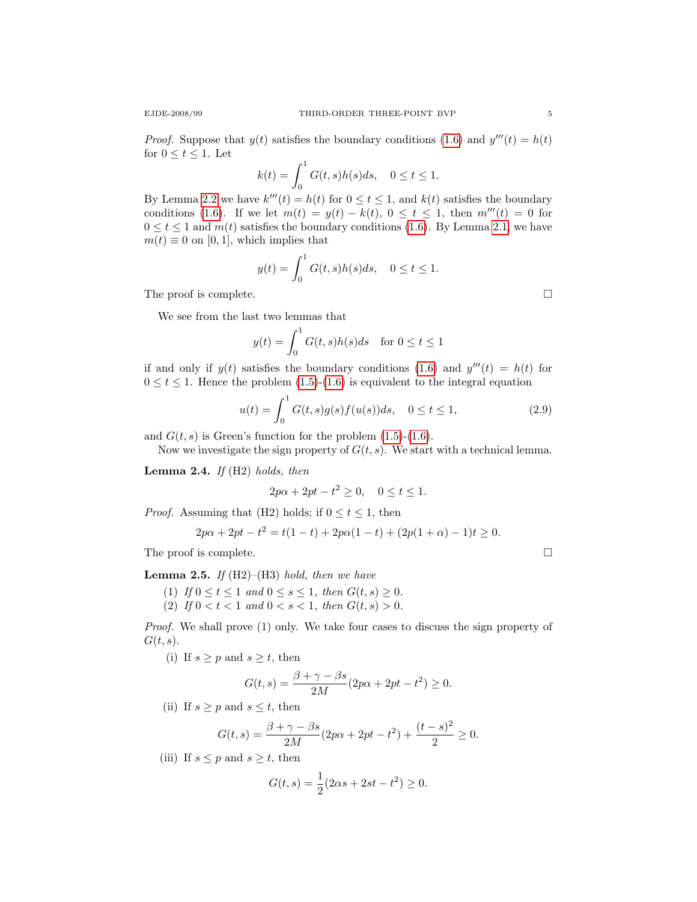*Proof.* Suppose that  $y(t)$  satisfies the boundary conditions [\(1.6\)](#page-1-1) and  $y'''(t) = h(t)$ for  $0 \le t \le 1$ . Let

$$
k(t) = \int_0^1 G(t,s)h(s)ds, \quad 0 \le t \le 1.
$$

By Lemma [2.2](#page-3-1) we have  $k'''(t) = h(t)$  for  $0 \le t \le 1$ , and  $k(t)$  satisfies the boundary conditions [\(1.6\)](#page-1-1). If we let  $m(t) = y(t) - k(t)$ ,  $0 \le t \le 1$ , then  $m'''(t) = 0$  for  $0 \le t \le 1$  and  $m(t)$  satisfies the boundary conditions [\(1.6\)](#page-1-1). By Lemma [2.1,](#page-3-2) we have  $m(t) \equiv 0$  on [0, 1], which implies that

$$
y(t) = \int_0^1 G(t, s)h(s)ds, \quad 0 \le t \le 1.
$$

The proof is complete.  $\square$ 

We see from the last two lemmas that

$$
y(t) = \int_0^1 G(t, s)h(s)ds \quad \text{for } 0 \le t \le 1
$$

if and only if  $y(t)$  satisfies the boundary conditions [\(1.6\)](#page-1-1) and  $y'''(t) = h(t)$  for  $0 \le t \le 1$ . Hence the problem  $(1.5)-(1.6)$  $(1.5)-(1.6)$  $(1.5)-(1.6)$  is equivalent to the integral equation

$$
u(t) = \int_0^1 G(t,s)g(s)f(u(s))ds, \quad 0 \le t \le 1,
$$
\n(2.9)

and  $G(t, s)$  is Green's function for the problem  $(1.5)-(1.6)$  $(1.5)-(1.6)$  $(1.5)-(1.6)$ .

Now we investigate the sign property of  $G(t, s)$ . We start with a technical lemma.

**Lemma 2.4.** If  $(H2)$  holds, then

$$
2p\alpha + 2pt - t^2 \ge 0, \quad 0 \le t \le 1.
$$

*Proof.* Assuming that (H2) holds; if  $0 \le t \le 1$ , then

$$
2p\alpha + 2pt - t^2 = t(1 - t) + 2p\alpha(1 - t) + (2p(1 + \alpha) - 1)t \ge 0.
$$

The proof is complete.  $\Box$ 

**Lemma 2.5.** If  $(H2)$ – $(H3)$  hold, then we have

(1) If  $0 \le t \le 1$  and  $0 \le s \le 1$ , then  $G(t, s) \ge 0$ .

(2) If  $0 < t < 1$  and  $0 < s < 1$ , then  $G(t, s) > 0$ .

Proof. We shall prove (1) only. We take four cases to discuss the sign property of  $G(t, s)$ .

(i) If  $s \geq p$  and  $s \geq t$ , then

$$
G(t,s) = \frac{\beta + \gamma - \beta s}{2M} (2p\alpha + 2pt - t^2) \ge 0.
$$

(ii) If  $s \geq p$  and  $s \leq t$ , then

$$
G(t,s) = \frac{\beta + \gamma - \beta s}{2M} (2p\alpha + 2pt - t^2) + \frac{(t-s)^2}{2} \ge 0.
$$

(iii) If  $s \leq p$  and  $s \geq t$ , then

$$
G(t,s) = \frac{1}{2}(2\alpha s + 2st - t^2) \ge 0.
$$

<span id="page-5-0"></span>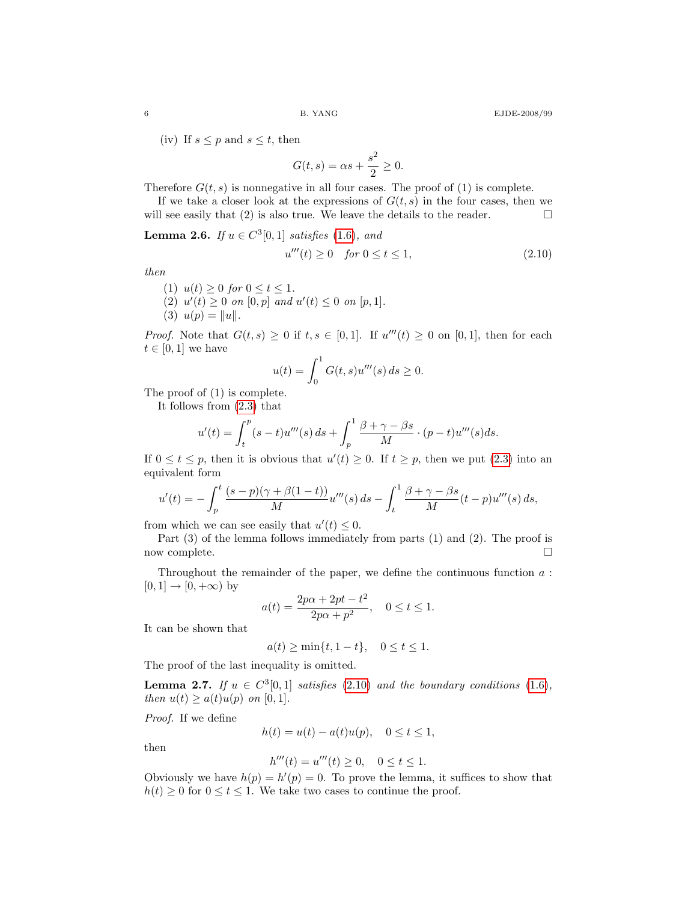(iv) If  $s \leq p$  and  $s \leq t$ , then

<span id="page-6-0"></span>
$$
G(t,s) = \alpha s + \frac{s^2}{2} \ge 0.
$$

Therefore  $G(t, s)$  is nonnegative in all four cases. The proof of (1) is complete.

If we take a closer look at the expressions of  $G(t, s)$  in the four cases, then we will see easily that (2) is also true. We leave the details to the reader.  $\Box$ 

**Lemma 2.6.** If  $u \in C^3[0,1]$  satisfies [\(1.6\)](#page-1-1), and  $u'''(t) \ge 0$  for  $0 \le t \le 1$ , (2.10)

then

$$
(1) u(t) \ge 0 \text{ for } 0 \le t \le 1.
$$

- (2)  $u'(t) \ge 0$  on  $[0, p]$  and  $u'(t) \le 0$  on  $[p, 1]$ .
- (3)  $u(p) = ||u||$ .

*Proof.* Note that  $G(t, s) \geq 0$  if  $t, s \in [0, 1]$ . If  $u'''(t) \geq 0$  on  $[0, 1]$ , then for each  $t \in [0,1]$  we have

$$
u(t) = \int_0^1 G(t, s) u'''(s) \, ds \ge 0.
$$

The proof of (1) is complete.

It follows from [\(2.3\)](#page-4-0) that

$$
u'(t) = \int_t^p (s-t)u'''(s) ds + \int_p^1 \frac{\beta + \gamma - \beta s}{M} \cdot (p-t)u'''(s) ds.
$$

If  $0 \le t \le p$ , then it is obvious that  $u'(t) \ge 0$ . If  $t \ge p$ , then we put [\(2.3\)](#page-4-0) into an equivalent form

$$
u'(t) = -\int_p^t \frac{(s-p)(\gamma+\beta(1-t))}{M} u'''(s) ds - \int_t^1 \frac{\beta+\gamma-\beta s}{M} (t-p) u'''(s) ds,
$$

from which we can see easily that  $u'(t) \leq 0$ .

Part  $(3)$  of the lemma follows immediately from parts  $(1)$  and  $(2)$ . The proof is now complete.  $\Box$ 

Throughout the remainder of the paper, we define the continuous function  $a$ :  $[0, 1] \rightarrow [0, +\infty)$  by

$$
a(t) = \frac{2p\alpha + 2pt - t^2}{2p\alpha + p^2}, \quad 0 \le t \le 1.
$$

It can be shown that

$$
a(t) \ge \min\{t, 1 - t\}, \quad 0 \le t \le 1.
$$

The proof of the last inequality is omitted.

**Lemma 2.7.** If  $u \in C^3[0,1]$  satisfies [\(2.10\)](#page-6-0) and the boundary conditions [\(1.6\)](#page-1-1), then  $u(t) \geq a(t)u(p)$  on [0, 1].

Proof. If we define

$$
h(t) = u(t) - a(t)u(p), \quad 0 \le t \le 1,
$$

then

$$
h'''(t) = u'''(t) \ge 0, \quad 0 \le t \le 1.
$$

Obviously we have  $h(p) = h'(p) = 0$ . To prove the lemma, it suffices to show that  $h(t) \geq 0$  for  $0 \leq t \leq 1$ . We take two cases to continue the proof.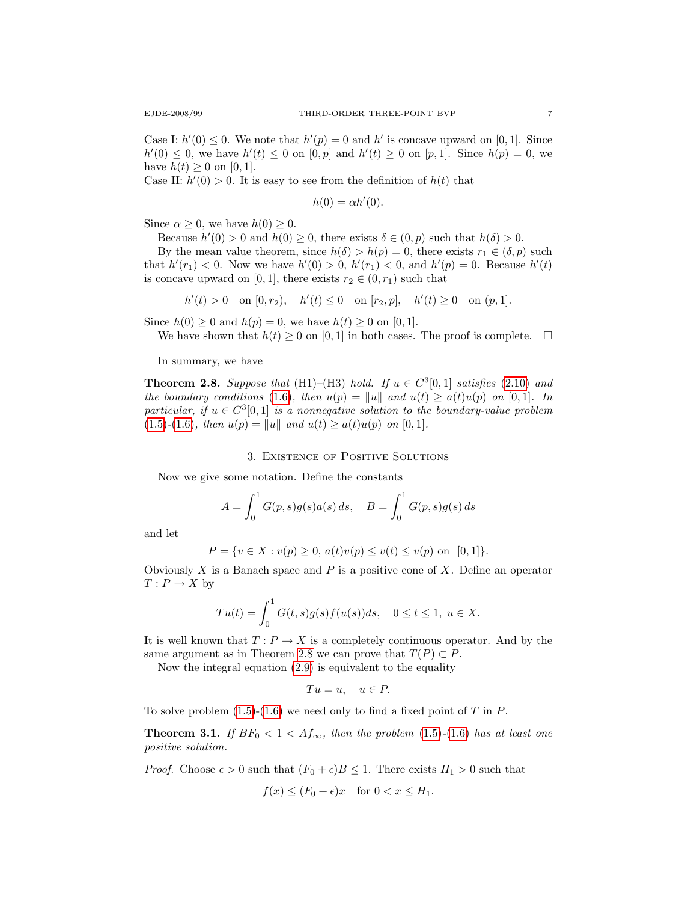Case I:  $h'(0) \leq 0$ . We note that  $h'(p) = 0$  and  $h'$  is concave upward on [0, 1]. Since  $h'(0) \leq 0$ , we have  $h'(t) \leq 0$  on  $[0, p]$  and  $h'(t) \geq 0$  on  $[p, 1]$ . Since  $h(p) = 0$ , we have  $h(t) \ge 0$  on [0, 1].

Case II:  $h'(0) > 0$ . It is easy to see from the definition of  $h(t)$  that

$$
h(0) = \alpha h'(0).
$$

Since  $\alpha \geq 0$ , we have  $h(0) \geq 0$ .

Because  $h'(0) > 0$  and  $h(0) \ge 0$ , there exists  $\delta \in (0, p)$  such that  $h(\delta) > 0$ .

By the mean value theorem, since  $h(\delta) > h(p) = 0$ , there exists  $r_1 \in (\delta, p)$  such that  $h'(r_1) < 0$ . Now we have  $h'(0) > 0$ ,  $h'(r_1) < 0$ , and  $h'(p) = 0$ . Because  $h'(t)$ is concave upward on [0, 1], there exists  $r_2 \in (0, r_1)$  such that

$$
h'(t) > 0
$$
 on  $[0, r_2)$ ,  $h'(t) \le 0$  on  $[r_2, p]$ ,  $h'(t) \ge 0$  on  $(p, 1]$ .

Since  $h(0) \ge 0$  and  $h(p) = 0$ , we have  $h(t) \ge 0$  on [0, 1].

We have shown that  $h(t) \geq 0$  on [0,1] in both cases. The proof is complete.  $\Box$ 

In summary, we have

<span id="page-7-0"></span>**Theorem 2.8.** Suppose that (H1)–(H3) hold. If  $u \in C^3[0,1]$  satisfies [\(2.10\)](#page-6-0) and the boundary conditions [\(1.6\)](#page-1-1), then  $u(p) = ||u||$  and  $u(t) \geq a(t)u(p)$  on [0,1]. In particular, if  $u \in C^{3}[0,1]$  is a nonnegative solution to the boundary-value problem [\(1.5\)](#page-1-0)-[\(1.6\)](#page-1-1), then  $u(p) = ||u||$  and  $u(t) \ge a(t)u(p)$  on [0, 1].

#### 3. Existence of Positive Solutions

Now we give some notation. Define the constants

$$
A = \int_0^1 G(p, s)g(s)a(s) ds, \quad B = \int_0^1 G(p, s)g(s) ds
$$

and let

$$
P = \{ v \in X : v(p) \ge 0, \, a(t)v(p) \le v(t) \le v(p) \text{ on } [0,1] \}.
$$

Obviously  $X$  is a Banach space and  $P$  is a positive cone of  $X$ . Define an operator  $T: P \to X$  by

$$
Tu(t) = \int_0^1 G(t,s)g(s)f(u(s))ds, \quad 0 \le t \le 1, \ u \in X.
$$

It is well known that  $T: P \to X$  is a completely continuous operator. And by the same argument as in Theorem [2.8](#page-7-0) we can prove that  $T(P) \subset P$ .

Now the integral equation [\(2.9\)](#page-5-0) is equivalent to the equality

$$
Tu = u, \quad u \in P.
$$

<span id="page-7-1"></span>To solve problem  $(1.5)-(1.6)$  $(1.5)-(1.6)$  $(1.5)-(1.6)$  we need only to find a fixed point of T in P.

**Theorem 3.1.** If  $BF_0 < 1 < Af_\infty$ , then the problem [\(1.5\)](#page-1-0)-[\(1.6\)](#page-1-1) has at least one positive solution.

*Proof.* Choose  $\epsilon > 0$  such that  $(F_0 + \epsilon)B \leq 1$ . There exists  $H_1 > 0$  such that

$$
f(x) \le (F_0 + \epsilon)x \quad \text{for } 0 < x \le H_1.
$$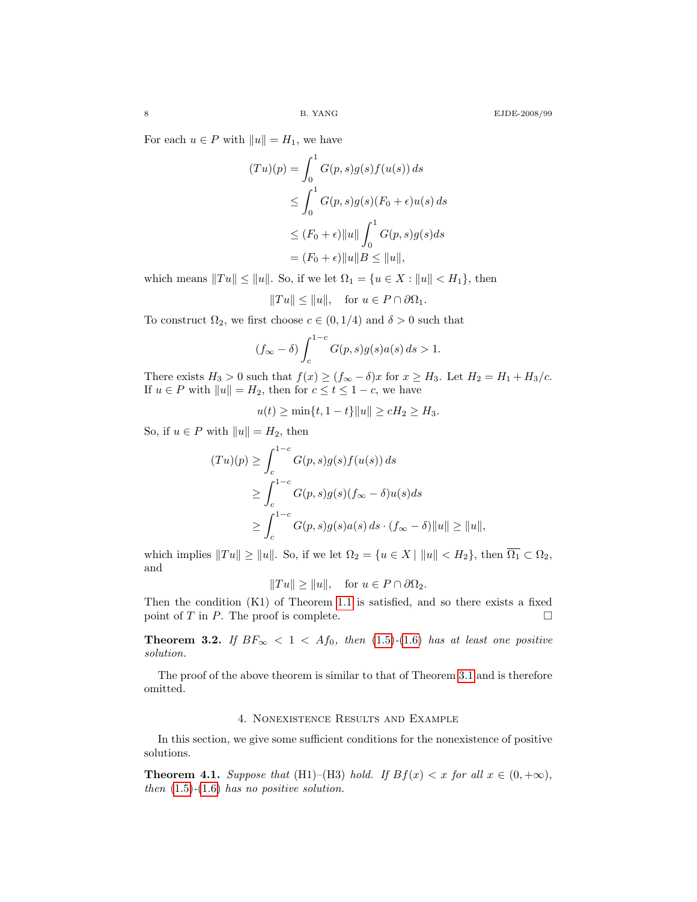For each  $u \in P$  with  $||u|| = H_1$ , we have

$$
(Tu)(p) = \int_0^1 G(p, s)g(s)f(u(s)) ds
$$
  
\n
$$
\leq \int_0^1 G(p, s)g(s)(F_0 + \epsilon)u(s) ds
$$
  
\n
$$
\leq (F_0 + \epsilon) ||u|| \int_0^1 G(p, s)g(s) ds
$$
  
\n
$$
= (F_0 + \epsilon) ||u|| B \leq ||u||,
$$

which means  $||Tu|| \le ||u||$ . So, if we let  $\Omega_1 = \{u \in X : ||u|| < H_1\}$ , then

$$
||Tu|| \le ||u||
$$
, for  $u \in P \cap \partial \Omega_1$ .

To construct  $\Omega_2$ , we first choose  $c \in (0, 1/4)$  and  $\delta > 0$  such that

$$
(f_{\infty} - \delta) \int_{c}^{1-c} G(p, s)g(s)a(s) ds > 1.
$$

There exists  $H_3 > 0$  such that  $f(x) \ge (f_{\infty} - \delta)x$  for  $x \ge H_3$ . Let  $H_2 = H_1 + H_3/c$ . If  $u \in P$  with  $||u|| = H_2$ , then for  $c \le t \le 1 - c$ , we have

$$
u(t) \ge \min\{t, 1 - t\} ||u|| \ge cH_2 \ge H_3.
$$

So, if  $u \in P$  with  $||u|| = H_2$ , then

$$
(Tu)(p) \ge \int_{c}^{1-c} G(p,s)g(s)f(u(s)) ds
$$
  
\n
$$
\ge \int_{c}^{1-c} G(p,s)g(s)(f_{\infty} - \delta)u(s) ds
$$
  
\n
$$
\ge \int_{c}^{1-c} G(p,s)g(s)a(s) ds \cdot (f_{\infty} - \delta) ||u|| \ge ||u||,
$$

which implies  $||Tu|| \ge ||u||$ . So, if we let  $\Omega_2 = \{u \in X \mid ||u|| < H_2\}$ , then  $\overline{\Omega_1} \subset \Omega_2$ , and

$$
||Tu|| \ge ||u||
$$
, for  $u \in P \cap \partial \Omega_2$ .

Then the condition (K1) of Theorem [1.1](#page-2-1) is satisfied, and so there exists a fixed point of T in P. The proof is complete.  $\square$ 

**Theorem 3.2.** If  $BF_{\infty} < 1 < Af_0$ , then [\(1.5\)](#page-1-0)-[\(1.6\)](#page-1-1) has at least one positive solution.

The proof of the above theorem is similar to that of Theorem [3.1](#page-7-1) and is therefore omitted.

#### 4. Nonexistence Results and Example

In this section, we give some sufficient conditions for the nonexistence of positive solutions.

<span id="page-8-0"></span>**Theorem 4.1.** Suppose that (H1)–(H3) hold. If  $Bf(x) < x$  for all  $x \in (0, +\infty)$ , then  $(1.5)-(1.6)$  $(1.5)-(1.6)$  $(1.5)-(1.6)$  has no positive solution.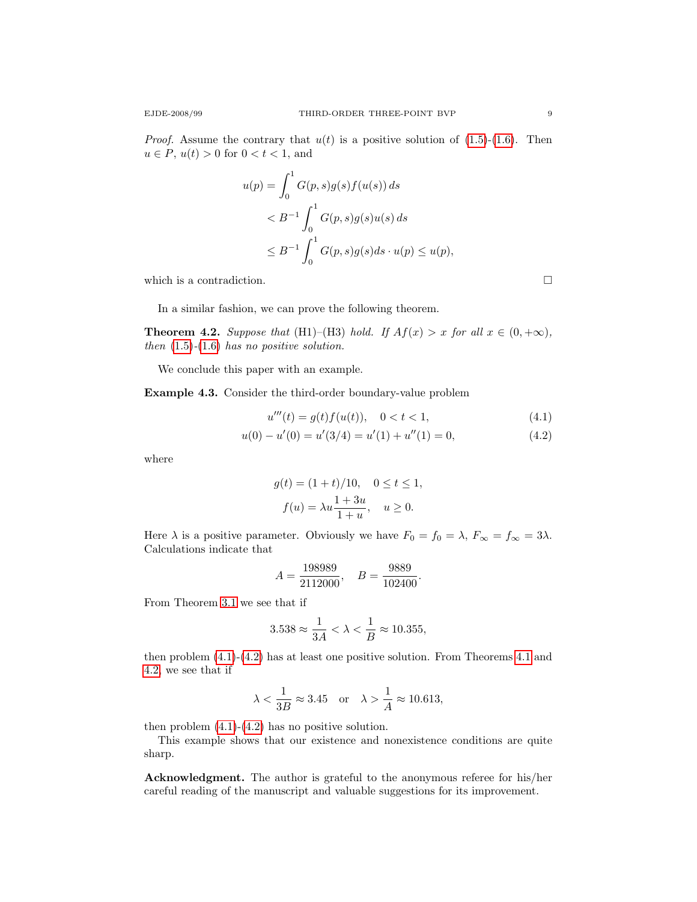*Proof.* Assume the contrary that  $u(t)$  is a positive solution of [\(1.5\)](#page-1-0)-[\(1.6\)](#page-1-1). Then  $u \in P$ ,  $u(t) > 0$  for  $0 < t < 1$ , and

$$
u(p) = \int_0^1 G(p, s)g(s)f(u(s)) ds
$$
  
< 
$$
< B^{-1} \int_0^1 G(p, s)g(s)u(s) ds
$$
  

$$
\leq B^{-1} \int_0^1 G(p, s)g(s) ds \cdot u(p) \leq u(p),
$$

which is a contradiction.  $\hfill \square$ 

In a similar fashion, we can prove the following theorem.

<span id="page-9-2"></span>**Theorem 4.2.** Suppose that (H1)–(H3) hold. If  $Af(x) > x$  for all  $x \in (0, +\infty)$ , then  $(1.5)-(1.6)$  $(1.5)-(1.6)$  $(1.5)-(1.6)$  has no positive solution.

We conclude this paper with an example.

Example 4.3. Consider the third-order boundary-value problem

$$
u'''(t) = g(t)f(u(t)), \quad 0 < t < 1,\tag{4.1}
$$

.

$$
u(0) - u'(0) = u'(3/4) = u'(1) + u''(1) = 0,
$$
\n(4.2)

where

$$
g(t) = (1+t)/10, \quad 0 \le t \le 1,
$$
  

$$
f(u) = \lambda u \frac{1+3u}{1+u}, \quad u \ge 0.
$$

Here  $\lambda$  is a positive parameter. Obviously we have  $F_0 = f_0 = \lambda$ ,  $F_{\infty} = f_{\infty} = 3\lambda$ . Calculations indicate that

$$
A = \frac{198989}{2112000}, \quad B = \frac{9889}{102400}
$$

From Theorem [3.1](#page-7-1) we see that if

$$
3.538 \approx \frac{1}{3A} < \lambda < \frac{1}{B} \approx 10.355,
$$

then problem [\(4.1\)](#page-9-0)-[\(4.2\)](#page-9-1) has at least one positive solution. From Theorems [4.1](#page-8-0) and [4.2,](#page-9-2) we see that if

$$
\lambda < \frac{1}{3B} \approx 3.45
$$
 or  $\lambda > \frac{1}{A} \approx 10.613$ ,

then problem  $(4.1)-(4.2)$  $(4.1)-(4.2)$  $(4.1)-(4.2)$  has no positive solution.

This example shows that our existence and nonexistence conditions are quite sharp.

Acknowledgment. The author is grateful to the anonymous referee for his/her careful reading of the manuscript and valuable suggestions for its improvement.

<span id="page-9-1"></span><span id="page-9-0"></span>